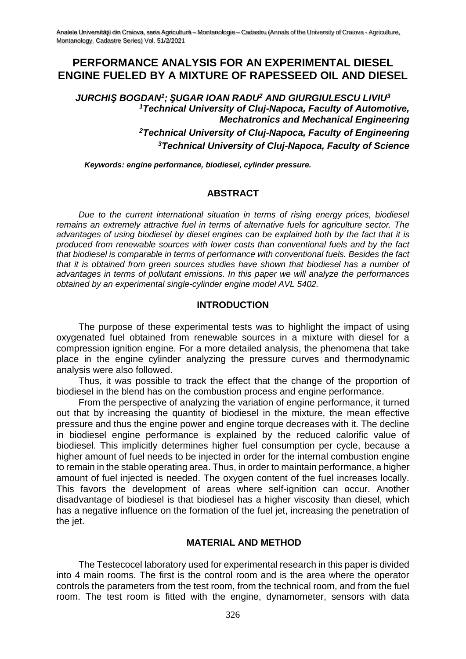# **PERFORMANCE ANALYSIS FOR AN EXPERIMENTAL DIESEL ENGINE FUELED BY A MIXTURE OF RAPESSEED OIL AND DIESEL**

*JURCHIŞ BOGDAN<sup>1</sup> ; ŞUGAR IOAN RADU<sup>2</sup> AND GIURGIULESCU LIVIU<sup>3</sup> <sup>1</sup>Technical University of Cluj-Napoca, Faculty of Automotive, Mechatronics and Mechanical Engineering <sup>2</sup>Technical University of Cluj-Napoca, Faculty of Engineering <sup>3</sup>Technical University of Cluj-Napoca, Faculty of Science*

*Keywords: engine performance, biodiesel, cylinder pressure.*

## **ABSTRACT**

*Due to the current international situation in terms of rising energy prices, biodiesel remains an extremely attractive fuel in terms of alternative fuels for agriculture sector. The advantages of using biodiesel by diesel engines can be explained both by the fact that it is produced from renewable sources with lower costs than conventional fuels and by the fact that biodiesel is comparable in terms of performance with conventional fuels. Besides the fact that it is obtained from green sources studies have shown that biodiesel has a number of advantages in terms of pollutant emissions. In this paper we will analyze the performances obtained by an experimental single-cylinder engine model AVL 5402.*

### **INTRODUCTION**

The purpose of these experimental tests was to highlight the impact of using oxygenated fuel obtained from renewable sources in a mixture with diesel for a compression ignition engine. For a more detailed analysis, the phenomena that take place in the engine cylinder analyzing the pressure curves and thermodynamic analysis were also followed.

Thus, it was possible to track the effect that the change of the proportion of biodiesel in the blend has on the combustion process and engine performance.

From the perspective of analyzing the variation of engine performance, it turned out that by increasing the quantity of biodiesel in the mixture, the mean effective pressure and thus the engine power and engine torque decreases with it. The decline in biodiesel engine performance is explained by the reduced calorific value of biodiesel. This implicitly determines higher fuel consumption per cycle, because a higher amount of fuel needs to be injected in order for the internal combustion engine to remain in the stable operating area. Thus, in order to maintain performance, a higher amount of fuel injected is needed. The oxygen content of the fuel increases locally. This favors the development of areas where self-ignition can occur. Another disadvantage of biodiesel is that biodiesel has a higher viscosity than diesel, which has a negative influence on the formation of the fuel jet, increasing the penetration of the jet.

### **MATERIAL AND METHOD**

The Testecocel laboratory used for experimental research in this paper is divided into 4 main rooms. The first is the control room and is the area where the operator controls the parameters from the test room, from the technical room, and from the fuel room. The test room is fitted with the engine, dynamometer, sensors with data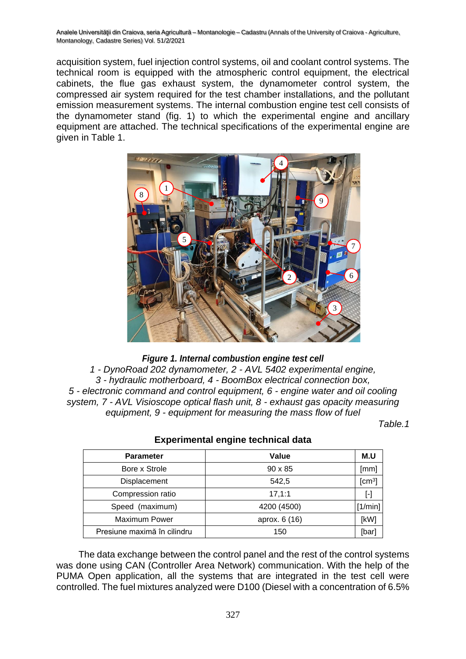acquisition system, fuel injection control systems, oil and coolant control systems. The technical room is equipped with the atmospheric control equipment, the electrical cabinets, the flue gas exhaust system, the dynamometer control system, the compressed air system required for the test chamber installations, and the pollutant emission measurement systems. The internal combustion engine test cell consists of the dynamometer stand (fig. 1) to which the experimental engine and ancillary equipment are attached. The technical specifications of the experimental engine are given in Table 1.



### *Figure 1. Internal combustion engine test cell*

*1 - DynoRoad 202 dynamometer, 2 - AVL 5402 experimental engine, 3 - hydraulic motherboard, 4 - BoomBox electrical connection box, 5 - electronic command and control equipment, 6 - engine water and oil cooling system, 7 - AVL Visioscope optical flash unit, 8 - exhaust gas opacity measuring equipment, 9 - equipment for measuring the mass flow of fuel*

*Table.1*

| <b>Parameter</b>            | Value          | M.U                |
|-----------------------------|----------------|--------------------|
| Bore x Strole               | $90 \times 85$ | [mm]               |
| Displacement                | 542.5          | [cm <sup>3</sup> ] |
| Compression ratio           | 17, 1:1        | ŀ1                 |
| Speed (maximum)             | 4200 (4500)    | [1/min]            |
| <b>Maximum Power</b>        | aprox. 6 (16)  | [kW]               |
| Presiune maximă în cilindru | 150            | [bar]              |

### **Experimental engine technical data**

The data exchange between the control panel and the rest of the control systems was done using CAN (Controller Area Network) communication. With the help of the PUMA Open application, all the systems that are integrated in the test cell were controlled. The fuel mixtures analyzed were D100 (Diesel with a concentration of 6.5%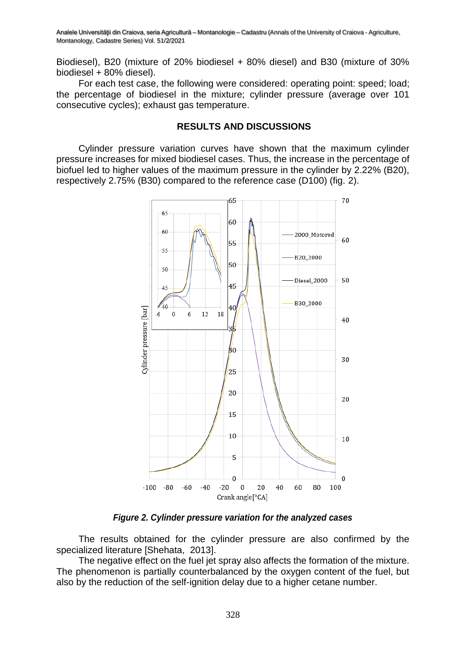Biodiesel), B20 (mixture of 20% biodiesel + 80% diesel) and B30 (mixture of 30% biodiesel + 80% diesel).

For each test case, the following were considered: operating point: speed; load; the percentage of biodiesel in the mixture; cylinder pressure (average over 101 consecutive cycles); exhaust gas temperature.

#### **RESULTS AND DISCUSSIONS**

Cylinder pressure variation curves have shown that the maximum cylinder pressure increases for mixed biodiesel cases. Thus, the increase in the percentage of biofuel led to higher values of the maximum pressure in the cylinder by 2.22% (B20), respectively 2.75% (B30) compared to the reference case (D100) (fig. 2).



*Figure 2. Cylinder pressure variation for the analyzed cases*

The results obtained for the cylinder pressure are also confirmed by the specialized literature [Shehata, 2013].

The negative effect on the fuel jet spray also affects the formation of the mixture. The phenomenon is partially counterbalanced by the oxygen content of the fuel, but also by the reduction of the self-ignition delay due to a higher cetane number.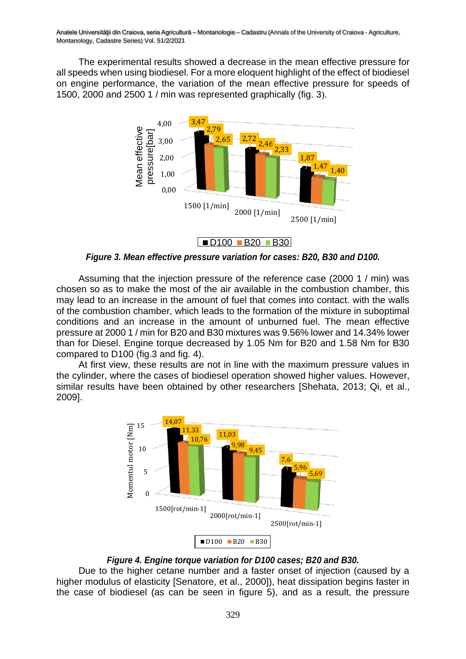The experimental results showed a decrease in the mean effective pressure for all speeds when using biodiesel. For a more eloquent highlight of the effect of biodiesel on engine performance, the variation of the mean effective pressure for speeds of 1500, 2000 and 2500 1 / min was represented graphically (fig. 3).



*Figure 3. Mean effective pressure variation for cases: B20, B30 and D100.*

Assuming that the injection pressure of the reference case (2000 1 / min) was chosen so as to make the most of the air available in the combustion chamber, this may lead to an increase in the amount of fuel that comes into contact. with the walls of the combustion chamber, which leads to the formation of the mixture in suboptimal conditions and an increase in the amount of unburned fuel. The mean effective pressure at 2000 1 / min for B20 and B30 mixtures was 9.56% lower and 14.34% lower than for Diesel. Engine torque decreased by 1.05 Nm for B20 and 1.58 Nm for B30 compared to D100 (fig.3 and fig. 4).

At first view, these results are not in line with the maximum pressure values in the cylinder, where the cases of biodiesel operation showed higher values. However, similar results have been obtained by other researchers [Shehata, 2013; Qi, et al., 2009].



### *Figure 4. Engine torque variation for D100 cases; B20 and B30.*

Due to the higher cetane number and a faster onset of injection (caused by a higher modulus of elasticity [Senatore, et al., 2000]), heat dissipation begins faster in the case of biodiesel (as can be seen in figure 5), and as a result, the pressure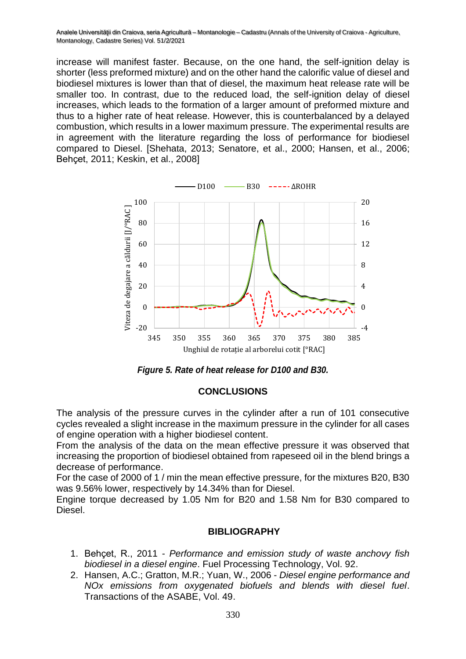increase will manifest faster. Because, on the one hand, the self-ignition delay is shorter (less preformed mixture) and on the other hand the calorific value of diesel and biodiesel mixtures is lower than that of diesel, the maximum heat release rate will be smaller too. In contrast, due to the reduced load, the self-ignition delay of diesel increases, which leads to the formation of a larger amount of preformed mixture and thus to a higher rate of heat release. However, this is counterbalanced by a delayed combustion, which results in a lower maximum pressure. The experimental results are in agreement with the literature regarding the loss of performance for biodiesel compared to Diesel. [Shehata, 2013; Senatore, et al., 2000; Hansen, et al., 2006; Behçet, 2011; Keskin, et al., 2008]





### **CONCLUSIONS**

The analysis of the pressure curves in the cylinder after a run of 101 consecutive cycles revealed a slight increase in the maximum pressure in the cylinder for all cases of engine operation with a higher biodiesel content.

From the analysis of the data on the mean effective pressure it was observed that increasing the proportion of biodiesel obtained from rapeseed oil in the blend brings a decrease of performance.

For the case of 2000 of 1 / min the mean effective pressure, for the mixtures B20, B30 was 9.56% lower, respectively by 14.34% than for Diesel.

Engine torque decreased by 1.05 Nm for B20 and 1.58 Nm for B30 compared to Diesel.

### **BIBLIOGRAPHY**

- 1. Behçet, R., 2011 *Performance and emission study of waste anchovy fish biodiesel in a diesel engine*. Fuel Processing Technology, Vol. 92.
- 2. Hansen, A.C.; Gratton, M.R.; Yuan, W., 2006 *Diesel engine performance and NOx emissions from oxygenated biofuels and blends with diesel fuel*. Transactions of the ASABE, Vol. 49.